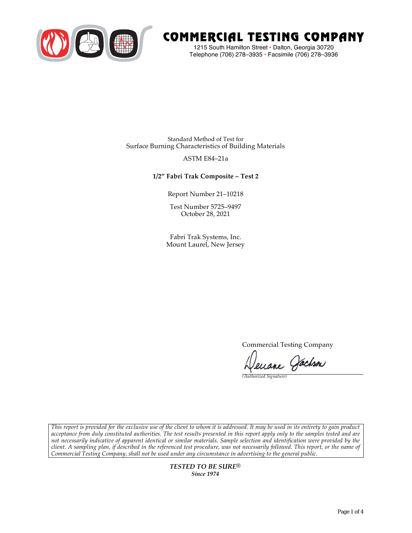

# COMMERCIAL TESTING COMPANY

1215 South Hamilton Street • Dalton, Georgia 30720 Telephone (706) 278–3935 **•** Facsimile (706) 278–3936

Standard Method of Test for Surface Burning Characteristics of Building Materials

## ASTM E84–21a

## **1/2" Fabri Trak Composite – Test 2**

Report Number 21–10218

Test Number 5725–9497 October 28, 2021

Fabri Trak Systems, Inc. Mount Laurel, New Jersey

Commercial Testing Company

Jenane Jachson

*(Authorized Signature)* 

*This report is provided for the exclusive use of the client to whom it is addressed. It may be used in its entirety to gain product acceptance from duly constituted authorities. The test results presented in this report apply only to the samples tested and are not necessarily indicative of apparent identical or similar materials. Sample selection and identification were provided by the client. A sampling plan, if described in the referenced test procedure, was not necessarily followed. This report, or the name of Commercial Testing Company, shall not be used under any circumstance in advertising to the general public.* 

> *TESTED TO BE SURE® Since 1974*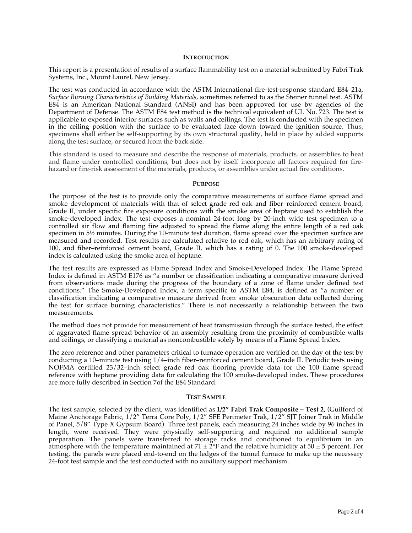#### **INTRODUCTION**

This report is a presentation of results of a surface flammability test on a material submitted by Fabri Trak Systems, Inc., Mount Laurel, New Jersey.

The test was conducted in accordance with the ASTM International fire-test-response standard E84–21a, *Surface Burning Characteristics of Building Materials*, sometimes referred to as the Steiner tunnel test. ASTM E84 is an American National Standard (ANSI) and has been approved for use by agencies of the Department of Defense. The ASTM E84 test method is the technical equivalent of UL No. 723. The test is applicable to exposed interior surfaces such as walls and ceilings. The test is conducted with the specimen in the ceiling position with the surface to be evaluated face down toward the ignition source. Thus, specimens shall either be self-supporting by its own structural quality, held in place by added supports along the test surface, or secured from the back side.

This standard is used to measure and describe the response of materials, products, or assemblies to heat and flame under controlled conditions, but does not by itself incorporate all factors required for firehazard or fire-risk assessment of the materials, products, or assemblies under actual fire conditions.

#### **PURPOSE**

The purpose of the test is to provide only the comparative measurements of surface flame spread and smoke development of materials with that of select grade red oak and fiber–reinforced cement board, Grade II, under specific fire exposure conditions with the smoke area of heptane used to establish the smoke-developed index. The test exposes a nominal 24-foot long by 20-inch wide test specimen to a controlled air flow and flaming fire adjusted to spread the flame along the entire length of a red oak specimen in  $5\frac{1}{2}$  minutes. During the 10-minute test duration, flame spread over the specimen surface are measured and recorded. Test results are calculated relative to red oak, which has an arbitrary rating of 100, and fiber–reinforced cement board, Grade II, which has a rating of 0. The 100 smoke-developed index is calculated using the smoke area of heptane.

The test results are expressed as Flame Spread Index and Smoke-Developed Index. The Flame Spread Index is defined in ASTM E176 as "a number or classification indicating a comparative measure derived from observations made during the progress of the boundary of a zone of flame under defined test conditions." The Smoke-Developed Index, a term specific to ASTM E84, is defined as "a number or classification indicating a comparative measure derived from smoke obscuration data collected during the test for surface burning characteristics." There is not necessarily a relationship between the two measurements.

The method does not provide for measurement of heat transmission through the surface tested, the effect of aggravated flame spread behavior of an assembly resulting from the proximity of combustible walls and ceilings, or classifying a material as noncombustible solely by means of a Flame Spread Index.

The zero reference and other parameters critical to furnace operation are verified on the day of the test by conducting a 10–minute test using 1/4–inch fiber–reinforced cement board, Grade II. Periodic tests using NOFMA certified 23/32–inch select grade red oak flooring provide data for the 100 flame spread reference with heptane providing data for calculating the 100 smoke-developed index. These procedures are more fully described in Section 7of the E84 Standard.

#### **TEST SAMPLE**

The test sample, selected by the client, was identified as **1/2" Fabri Trak Composite – Test 2,** (Guilford of Maine Anchorage Fabric,  $1/2$ " Terra Core Poly,  $1/2$ " SFE Perimeter Trak,  $1/2$ " SJT Joiner Trak in Middle of Panel, 5/8" Type X Gypsum Board). Three test panels, each measuring 24 inches wide by 96 inches in length, were received. They were physically self-supporting and required no additional sample preparation. The panels were transferred to storage racks and conditioned to equilibrium in an atmosphere with the temperature maintained at  $71 \pm 2$ °F and the relative humidity at  $50 \pm 5$  percent. For testing, the panels were placed end-to-end on the ledges of the tunnel furnace to make up the necessary 24-foot test sample and the test conducted with no auxiliary support mechanism.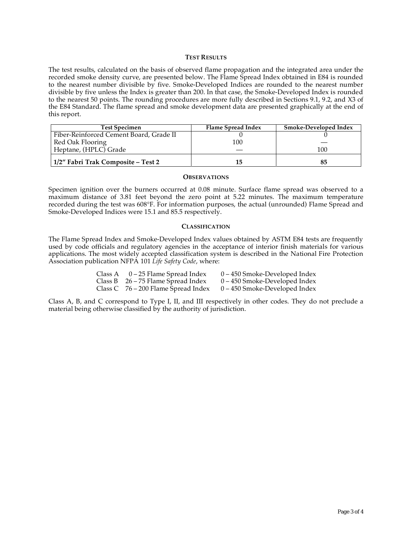### **TEST RESULTS**

The test results, calculated on the basis of observed flame propagation and the integrated area under the recorded smoke density curve, are presented below. The Flame Spread Index obtained in E84 is rounded to the nearest number divisible by five. Smoke-Developed Indices are rounded to the nearest number divisible by five unless the Index is greater than 200. In that case, the Smoke-Developed Index is rounded to the nearest 50 points. The rounding procedures are more fully described in Sections 9.1, 9.2, and X3 of the E84 Standard. The flame spread and smoke development data are presented graphically at the end of this report.

| <b>Test Specimen</b>                    | Flame Spread Index | Smoke-Developed Index |
|-----------------------------------------|--------------------|-----------------------|
| Fiber-Reinforced Cement Board, Grade II |                    |                       |
| Red Oak Flooring                        | 100                |                       |
| Heptane, (HPLC) Grade                   |                    | 100                   |
| 1/2″ Fabri Trak Composite – Test 2      | 15                 | 85                    |

#### **OBSERVATIONS**

Specimen ignition over the burners occurred at 0.08 minute. Surface flame spread was observed to a maximum distance of 3.81 feet beyond the zero point at 5.22 minutes. The maximum temperature recorded during the test was 608°F. For information purposes, the actual (unrounded) Flame Spread and Smoke-Developed Indices were 15.1 and 85.5 respectively.

#### **CLASSIFICATION**

The Flame Spread Index and Smoke-Developed Index values obtained by ASTM E84 tests are frequently used by code officials and regulatory agencies in the acceptance of interior finish materials for various applications. The most widely accepted classification system is described in the National Fire Protection Association publication NFPA 101 *Life Safety Code*, where:

| Class A $0-25$ Flame Spread Index     | $0 - 450$ Smoke-Developed Index |
|---------------------------------------|---------------------------------|
| Class B $26 - 75$ Flame Spread Index  | $0 - 450$ Smoke-Developed Index |
| Class C $76 - 200$ Flame Spread Index | $0 - 450$ Smoke-Developed Index |

Class A, B, and C correspond to Type I, II, and III respectively in other codes. They do not preclude a material being otherwise classified by the authority of jurisdiction.